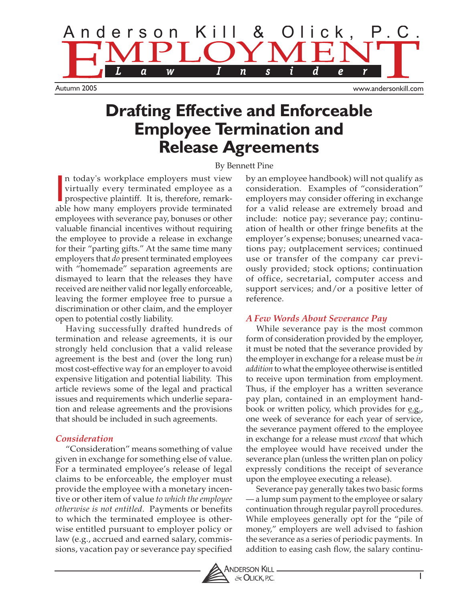

# **Drafting Effective and Enforceable Employee Termination and Release Agreements**

### By Bennett Pine

In today's workplace employers must view<br>virtually every terminated employee as a<br>prospective plaintiff. It is, therefore, remark-<br>able how many employers provide terminated n today's workplace employers must view virtually every terminated employee as a prospective plaintiff. It is, therefore, remarkemployees with severance pay, bonuses or other valuable financial incentives without requiring the employee to provide a release in exchange for their "parting gifts." At the same time many employers that *do* present terminated employees with "homemade" separation agreements are dismayed to learn that the releases they have received are neither valid nor legally enforceable, leaving the former employee free to pursue a discrimination or other claim, and the employer open to potential costly liability.

Having successfully drafted hundreds of termination and release agreements, it is our strongly held conclusion that a valid release agreement is the best and (over the long run) most cost-effective way for an employer to avoid expensive litigation and potential liability. This article reviews some of the legal and practical issues and requirements which underlie separation and release agreements and the provisions that should be included in such agreements.

### *Consideration*

"Consideration" means something of value given in exchange for something else of value. For a terminated employee's release of legal claims to be enforceable, the employer must provide the employee with a monetary incentive or other item of value *to which the employee otherwise is not entitled*. Payments or benefits to which the terminated employee is otherwise entitled pursuant to employer policy or law (e.g., accrued and earned salary, commissions, vacation pay or severance pay specified by an employee handbook) will not qualify as consideration. Examples of "consideration" employers may consider offering in exchange for a valid release are extremely broad and include: notice pay; severance pay; continuation of health or other fringe benefits at the employer's expense; bonuses; unearned vacations pay; outplacement services; continued use or transfer of the company car previously provided; stock options; continuation of office, secretarial, computer access and support services; and/or a positive letter of reference.

### *A Few Words About Severance Pay*

While severance pay is the most common form of consideration provided by the employer, it must be noted that the severance provided by the employer in exchange for a release must be *in addition* to what the employee otherwise is entitled to receive upon termination from employment. Thus, if the employer has a written severance pay plan, contained in an employment handbook or written policy, which provides for e.g., one week of severance for each year of service, the severance payment offered to the employee in exchange for a release must *exceed* that which the employee would have received under the severance plan (unless the written plan on policy expressly conditions the receipt of severance upon the employee executing a release).

Severance pay generally takes two basic forms — a lump sum payment to the employee or salary continuation through regular payroll procedures. While employees generally opt for the "pile of money," employers are well advised to fashion the severance as a series of periodic payments. In addition to easing cash flow, the salary continu-

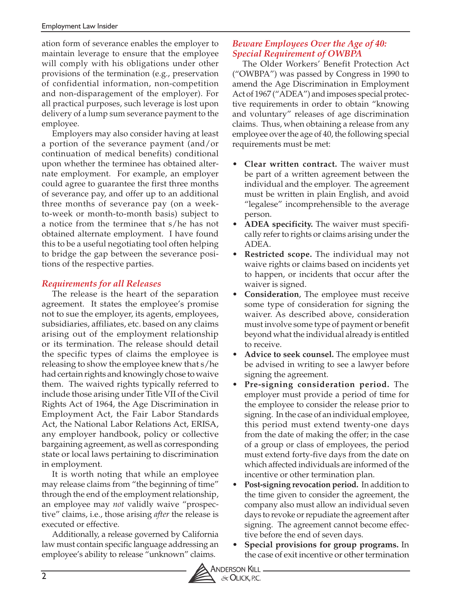ation form of severance enables the employer to maintain leverage to ensure that the employee will comply with his obligations under other provisions of the termination (e.g., preservation of confidential information, non-competition and non-disparagement of the employer). For all practical purposes, such leverage is lost upon delivery of a lump sum severance payment to the employee.

Employers may also consider having at least a portion of the severance payment (and/or continuation of medical benefits) conditional upon whether the terminee has obtained alternate employment. For example, an employer could agree to guarantee the first three months of severance pay, and offer up to an additional three months of severance pay (on a weekto-week or month-to-month basis) subject to a notice from the terminee that s/he has not obtained alternate employment. I have found this to be a useful negotiating tool often helping to bridge the gap between the severance positions of the respective parties.

# *Requirements for all Releases*

The release is the heart of the separation agreement. It states the employee's promise not to sue the employer, its agents, employees, subsidiaries, affiliates, etc. based on any claims arising out of the employment relationship or its termination. The release should detail the specific types of claims the employee is releasing to show the employee knew that s/he had certain rights and knowingly chose to waive them. The waived rights typically referred to include those arising under Title VII of the Civil Rights Act of 1964, the Age Discrimination in Employment Act, the Fair Labor Standards Act, the National Labor Relations Act, ERISA, any employer handbook, policy or collective bargaining agreement, as well as corresponding state or local laws pertaining to discrimination in employment.

It is worth noting that while an employee may release claims from "the beginning of time" through the end of the employment relationship, an employee may *not* validly waive "prospective" claims, i.e., those arising *after* the release is executed or effective.

Additionally, a release governed by California law must contain specific language addressing an employee's ability to release "unknown" claims.

### *Beware Employees Over the Age of 40: Special Requirement of OWBPA*

The Older Workers' Benefit Protection Act ("OWBPA") was passed by Congress in 1990 to amend the Age Discrimination in Employment Act of 1967 ("ADEA") and imposes special protective requirements in order to obtain "knowing and voluntary" releases of age discrimination claims. Thus, when obtaining a release from any employee over the age of 40, the following special requirements must be met:

- **Clear written contract.** The waiver must be part of a written agreement between the individual and the employer. The agreement must be written in plain English, and avoid "legalese" incomprehensible to the average person.
- **ADEA specificity.** The waiver must specifically refer to rights or claims arising under the ADEA.
- **Restricted scope.** The individual may not waive rights or claims based on incidents yet to happen, or incidents that occur after the waiver is signed.
- **Consideration**, The employee must receive some type of consideration for signing the waiver. As described above, consideration must involve some type of payment or benefit beyond what the individual already is entitled to receive.
- **Advice to seek counsel.** The employee must be advised in writing to see a lawyer before signing the agreement.
- **Pre-signing consideration period.** The employer must provide a period of time for the employee to consider the release prior to signing. In the case of an individual employee, this period must extend twenty-one days from the date of making the offer; in the case of a group or class of employees, the period must extend forty-five days from the date on which affected individuals are informed of the incentive or other termination plan.
- **Post-signing revocation period.** In addition to the time given to consider the agreement, the company also must allow an individual seven days to revoke or repudiate the agreement after signing. The agreement cannot become effective before the end of seven days.
- **Special provisions for group programs.** In the case of exit incentive or other termination

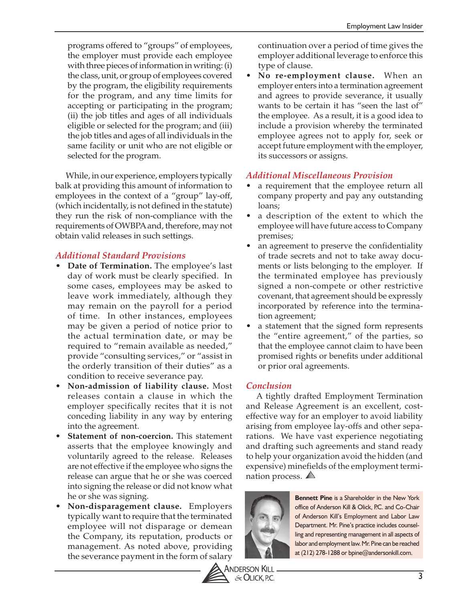programs offered to "groups" of employees, the employer must provide each employee with three pieces of information in writing: (i) the class, unit, or group of employees covered by the program, the eligibility requirements for the program, and any time limits for accepting or participating in the program; (ii) the job titles and ages of all individuals eligible or selected for the program; and (iii) the job titles and ages of all individuals in the same facility or unit who are not eligible or selected for the program.

While, in our experience, employers typically balk at providing this amount of information to employees in the context of a "group" lay-off, (which incidentally, is not defined in the statute) they run the risk of non-compliance with the requirements of OWBPA and, therefore, may not obtain valid releases in such settings.

# *Additional Standard Provisions*

- **Date of Termination.** The employee's last day of work must be clearly specified. In some cases, employees may be asked to leave work immediately, although they may remain on the payroll for a period of time. In other instances, employees may be given a period of notice prior to the actual termination date, or may be required to "remain available as needed," provide "consulting services," or "assist in the orderly transition of their duties" as a condition to receive severance pay.
- **Non-admission of liability clause.** Most releases contain a clause in which the employer specifically recites that it is not conceding liability in any way by entering into the agreement.
- **Statement of non-coercion.** This statement asserts that the employee knowingly and voluntarily agreed to the release. Releases are not effective if the employee who signs the release can argue that he or she was coerced into signing the release or did not know what he or she was signing.
- **Non-disparagement clause.** Employers typically want to require that the terminated employee will not disparage or demean the Company, its reputation, products or management. As noted above, providing the severance payment in the form of salary

continuation over a period of time gives the employer additional leverage to enforce this type of clause.

• **No re-employment clause.** When an employer enters into a termination agreement and agrees to provide severance, it usually wants to be certain it has "seen the last of" the employee. As a result, it is a good idea to include a provision whereby the terminated employee agrees not to apply for, seek or accept future employment with the employer, its successors or assigns.

# *Additional Miscellaneous Provision*

- a requirement that the employee return all company property and pay any outstanding loans;
- a description of the extent to which the employee will have future access to Company premises;
- an agreement to preserve the confidentiality of trade secrets and not to take away documents or lists belonging to the employer. If the terminated employee has previously signed a non-compete or other restrictive covenant, that agreement should be expressly incorporated by reference into the termination agreement;
- a statement that the signed form represents the "entire agreement," of the parties, so that the employee cannot claim to have been promised rights or benefits under additional or prior oral agreements.

# *Conclusion*

A tightly drafted Employment Termination and Release Agreement is an excellent, costeffective way for an employer to avoid liability arising from employee lay-offs and other separations. We have vast experience negotiating and drafting such agreements and stand ready to help your organization avoid the hidden (and expensive) minefields of the employment termination process.



**Bennett Pine** is a Shareholder in the New York office of Anderson Kill & Olick, P.C. and Co-Chair of Anderson Kill's Employment and Labor Law Department. Mr. Pine's practice includes counselling and representing management in all aspects of labor and employment law. Mr. Pine can be reached at (212) 278-1288 or bpine@andersonkill.com.